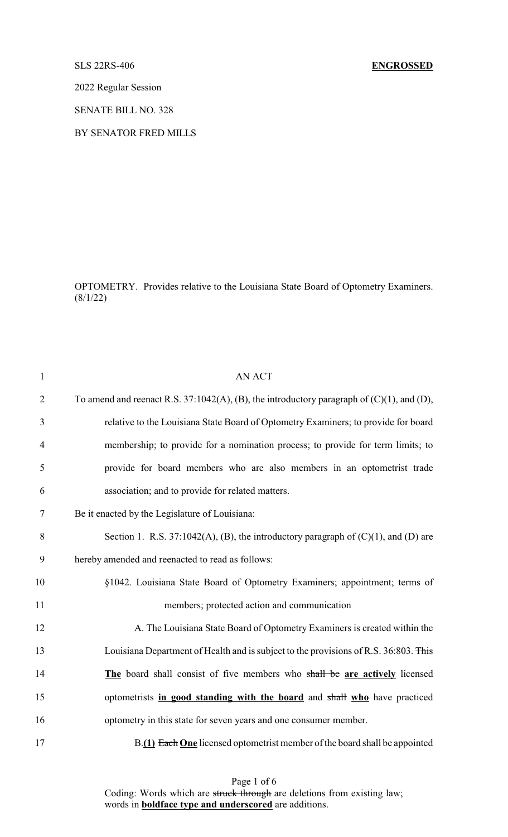## SLS 22RS-406 **ENGROSSED**

2022 Regular Session

SENATE BILL NO. 328

BY SENATOR FRED MILLS

OPTOMETRY. Provides relative to the Louisiana State Board of Optometry Examiners.  $(8/1/22)$ 

| $\mathbf{1}$   | <b>AN ACT</b>                                                                                   |
|----------------|-------------------------------------------------------------------------------------------------|
| $\overline{2}$ | To amend and reenact R.S. 37:1042(A), (B), the introductory paragraph of $(C)(1)$ , and $(D)$ , |
| 3              | relative to the Louisiana State Board of Optometry Examiners; to provide for board              |
| $\overline{4}$ | membership; to provide for a nomination process; to provide for term limits; to                 |
| 5              | provide for board members who are also members in an optometrist trade                          |
| 6              | association; and to provide for related matters.                                                |
| 7              | Be it enacted by the Legislature of Louisiana:                                                  |
| 8              | Section 1. R.S. 37:1042(A), (B), the introductory paragraph of $(C)(1)$ , and $(D)$ are         |
| 9              | hereby amended and reenacted to read as follows:                                                |
| 10             | §1042. Louisiana State Board of Optometry Examiners; appointment; terms of                      |
| 11             | members; protected action and communication                                                     |
| 12             | A. The Louisiana State Board of Optometry Examiners is created within the                       |
| 13             | Louisiana Department of Health and is subject to the provisions of R.S. 36:803. This            |
| 14             | The board shall consist of five members who shall be are actively licensed                      |
| 15             | optometrists in good standing with the board and shall who have practiced                       |
| 16             | optometry in this state for seven years and one consumer member.                                |
| 17             | B.(1) Each One licensed optometrist member of the board shall be appointed                      |

Page 1 of 6 Coding: Words which are struck through are deletions from existing law; words in **boldface type and underscored** are additions.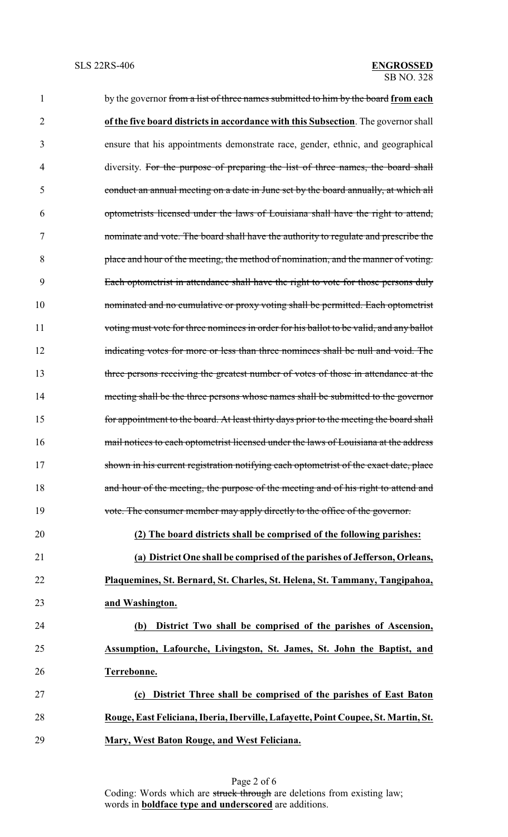| 1              | by the governor from a list of three names submitted to him by the board from each      |
|----------------|-----------------------------------------------------------------------------------------|
| $\overline{c}$ | of the five board districts in accordance with this Subsection. The governor shall      |
| 3              | ensure that his appointments demonstrate race, gender, ethnic, and geographical         |
| 4              | diversity. For the purpose of preparing the list of three names, the board shall        |
| 5              | conduct an annual meeting on a date in June set by the board annually, at which all     |
| 6              | optometrists licensed under the laws of Louisiana shall have the right to attend,       |
| 7              | nominate and vote. The board shall have the authority to regulate and prescribe the     |
| 8              | place and hour of the meeting, the method of nomination, and the manner of voting.      |
| 9              | Each optometrist in attendance shall have the right to vote for those persons duly      |
| 10             | nominated and no cumulative or proxy voting shall be permitted. Each optometrist        |
| 11             | voting must vote for three nominees in order for his ballot to be valid, and any ballot |
| 12             | indicating votes for more or less than three nominees shall be null and void. The       |
| 13             | three persons receiving the greatest number of votes of those in attendance at the      |
| 14             | meeting shall be the three persons whose names shall be submitted to the governor       |
| 15             | for appointment to the board. At least thirty days prior to the meeting the board shall |
| 16             | mail notices to each optometrist licensed under the laws of Louisiana at the address    |
| 17             | shown in his current registration notifying each optometrist of the exact date, place   |
| 18             | and hour of the meeting, the purpose of the meeting and of his right to attend and      |
| 19             | vote. The consumer member may apply directly to the office of the governor.             |
| 20             | (2) The board districts shall be comprised of the following parishes:                   |
| 21             | (a) District One shall be comprised of the parishes of Jefferson, Orleans,              |
| 22             | Plaquemines, St. Bernard, St. Charles, St. Helena, St. Tammany, Tangipahoa,             |
| 23             | and Washington.                                                                         |
| 24             | District Two shall be comprised of the parishes of Ascension,<br>(b)                    |
| 25             | Assumption, Lafourche, Livingston, St. James, St. John the Baptist, and                 |
| 26             | Terrebonne.                                                                             |
| 27             | District Three shall be comprised of the parishes of East Baton<br>(c)                  |
| 28             | Rouge, East Feliciana, Iberia, Iberville, Lafayette, Point Coupee, St. Martin, St.      |
| 29             | Mary, West Baton Rouge, and West Feliciana.                                             |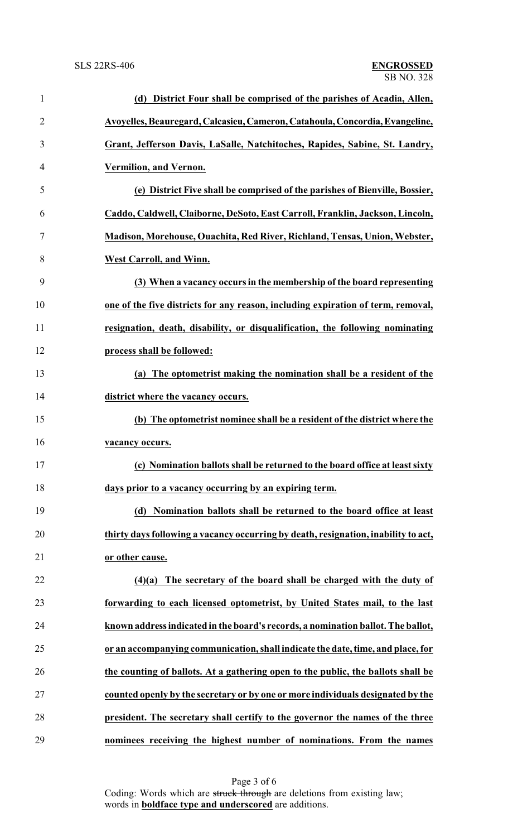| $\mathbf{1}$   | (d) District Four shall be comprised of the parishes of Acadia, Allen,             |
|----------------|------------------------------------------------------------------------------------|
| $\overline{2}$ | Avoyelles, Beauregard, Calcasieu, Cameron, Catahoula, Concordia, Evangeline,       |
| 3              | Grant, Jefferson Davis, LaSalle, Natchitoches, Rapides, Sabine, St. Landry,        |
| 4              | Vermilion, and Vernon.                                                             |
| 5              | (e) District Five shall be comprised of the parishes of Bienville, Bossier,        |
| 6              | Caddo, Caldwell, Claiborne, DeSoto, East Carroll, Franklin, Jackson, Lincoln,      |
| 7              | Madison, Morehouse, Ouachita, Red River, Richland, Tensas, Union, Webster,         |
| 8              | <b>West Carroll, and Winn.</b>                                                     |
| 9              | (3) When a vacancy occurs in the membership of the board representing              |
| 10             | one of the five districts for any reason, including expiration of term, removal,   |
| 11             | resignation, death, disability, or disqualification, the following nominating      |
| 12             | process shall be followed:                                                         |
| 13             | (a) The optometrist making the nomination shall be a resident of the               |
| 14             | district where the vacancy occurs.                                                 |
| 15             | (b) The optometrist nominee shall be a resident of the district where the          |
| 16             | vacancy occurs.                                                                    |
| 17             | (c) Nomination ballots shall be returned to the board office at least sixty        |
| 18             | days prior to a vacancy occurring by an expiring term.                             |
| 19             | (d) Nomination ballots shall be returned to the board office at least              |
| 20             | thirty days following a vacancy occurring by death, resignation, inability to act, |
| 21             | or other cause.                                                                    |
| 22             | $(4)(a)$ The secretary of the board shall be charged with the duty of              |
| 23             | forwarding to each licensed optometrist, by United States mail, to the last        |
| 24             | known address indicated in the board's records, a nomination ballot. The ballot,   |
| 25             | or an accompanying communication, shall indicate the date, time, and place, for    |
| 26             | the counting of ballots. At a gathering open to the public, the ballots shall be   |
| 27             | counted openly by the secretary or by one or more individuals designated by the    |
| 28             | president. The secretary shall certify to the governor the names of the three      |
| 29             | nominees receiving the highest number of nominations. From the names               |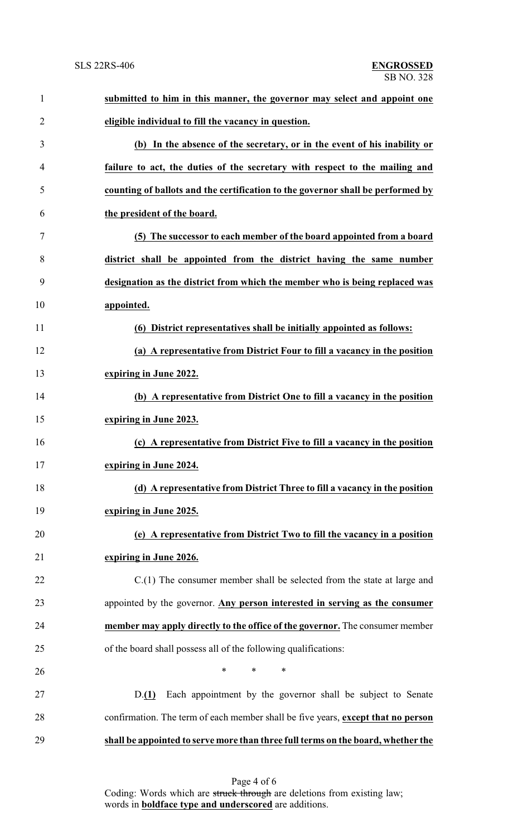| $\mathbf{1}$ | submitted to him in this manner, the governor may select and appoint one         |
|--------------|----------------------------------------------------------------------------------|
| 2            | eligible individual to fill the vacancy in question.                             |
| 3            | (b) In the absence of the secretary, or in the event of his inability or         |
| 4            | failure to act, the duties of the secretary with respect to the mailing and      |
| 5            | counting of ballots and the certification to the governor shall be performed by  |
| 6            | the president of the board.                                                      |
| 7            | (5) The successor to each member of the board appointed from a board             |
| 8            | district shall be appointed from the district having the same number             |
| 9            | designation as the district from which the member who is being replaced was      |
| 10           | appointed.                                                                       |
| 11           | (6) District representatives shall be initially appointed as follows:            |
| 12           | (a) A representative from District Four to fill a vacancy in the position        |
| 13           | expiring in June 2022.                                                           |
| 14           | (b) A representative from District One to fill a vacancy in the position         |
| 15           | expiring in June 2023.                                                           |
| 16           | (c) A representative from District Five to fill a vacancy in the position        |
| 17           | expiring in June 2024.                                                           |
| 18           | (d) A representative from District Three to fill a vacancy in the position       |
| 19           | expiring in June 2025.                                                           |
| 20           | (e) A representative from District Two to fill the vacancy in a position         |
| 21           | expiring in June 2026.                                                           |
| 22           | $C(1)$ The consumer member shall be selected from the state at large and         |
| 23           | appointed by the governor. Any person interested in serving as the consumer      |
| 24           | member may apply directly to the office of the governor. The consumer member     |
| 25           | of the board shall possess all of the following qualifications:                  |
| 26           | $\ast$<br>∗<br>∗                                                                 |
| 27           | Each appointment by the governor shall be subject to Senate<br>D(1)              |
| 28           | confirmation. The term of each member shall be five years, except that no person |
| 29           | shall be appointed to serve more than three full terms on the board, whether the |

Page 4 of 6 Coding: Words which are struck through are deletions from existing law; words in **boldface type and underscored** are additions.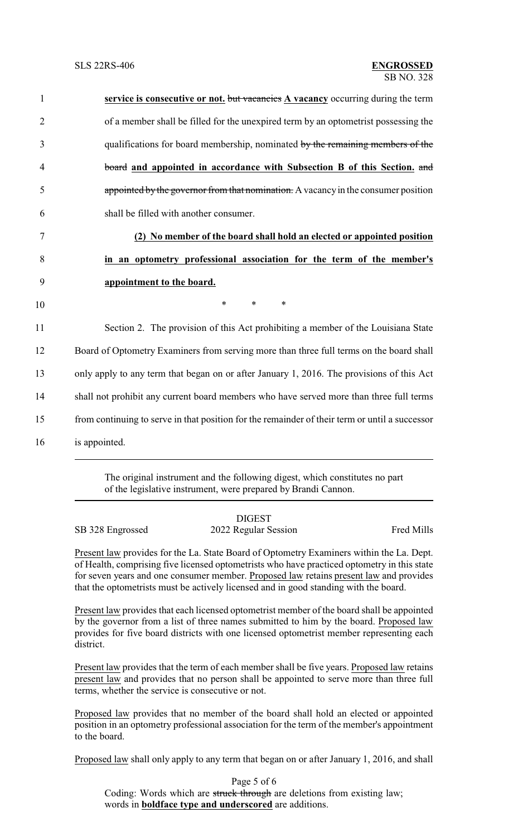| $\mathbf{1}$   | service is consecutive or not. but vacancies A vacancy occurring during the term               |
|----------------|------------------------------------------------------------------------------------------------|
| $\overline{2}$ | of a member shall be filled for the unexpired term by an optometrist possessing the            |
| 3              | qualifications for board membership, nominated by the remaining members of the                 |
| $\overline{4}$ | board and appointed in accordance with Subsection B of this Section, and                       |
| 5              | appointed by the governor from that nomination. A vacancy in the consumer position             |
| 6              | shall be filled with another consumer.                                                         |
| 7              | (2) No member of the board shall hold an elected or appointed position                         |
| 8              | in an optometry professional association for the term of the member's                          |
| 9              | appointment to the board.                                                                      |
| 10             | $\ast$<br>$\ast$<br>$\ast$                                                                     |
| 11             | Section 2. The provision of this Act prohibiting a member of the Louisiana State               |
| 12             | Board of Optometry Examiners from serving more than three full terms on the board shall        |
| 13             | only apply to any term that began on or after January 1, 2016. The provisions of this Act      |
| 14             | shall not prohibit any current board members who have served more than three full terms        |
| 15             | from continuing to serve in that position for the remainder of their term or until a successor |
|                |                                                                                                |

16 is appointed.

The original instrument and the following digest, which constitutes no part of the legislative instrument, were prepared by Brandi Cannon.

DIGEST SB 328 Engrossed 2022 Regular Session Fred Mills

Present law provides for the La. State Board of Optometry Examiners within the La. Dept. of Health, comprising five licensed optometrists who have practiced optometry in this state for seven years and one consumer member. Proposed law retains present law and provides that the optometrists must be actively licensed and in good standing with the board.

Present law provides that each licensed optometrist member of the board shall be appointed by the governor from a list of three names submitted to him by the board. Proposed law provides for five board districts with one licensed optometrist member representing each district.

Present law provides that the term of each member shall be five years. Proposed law retains present law and provides that no person shall be appointed to serve more than three full terms, whether the service is consecutive or not.

Proposed law provides that no member of the board shall hold an elected or appointed position in an optometry professional association for the term of the member's appointment to the board.

Proposed law shall only apply to any term that began on or after January 1, 2016, and shall

Page 5 of 6 Coding: Words which are struck through are deletions from existing law; words in **boldface type and underscored** are additions.